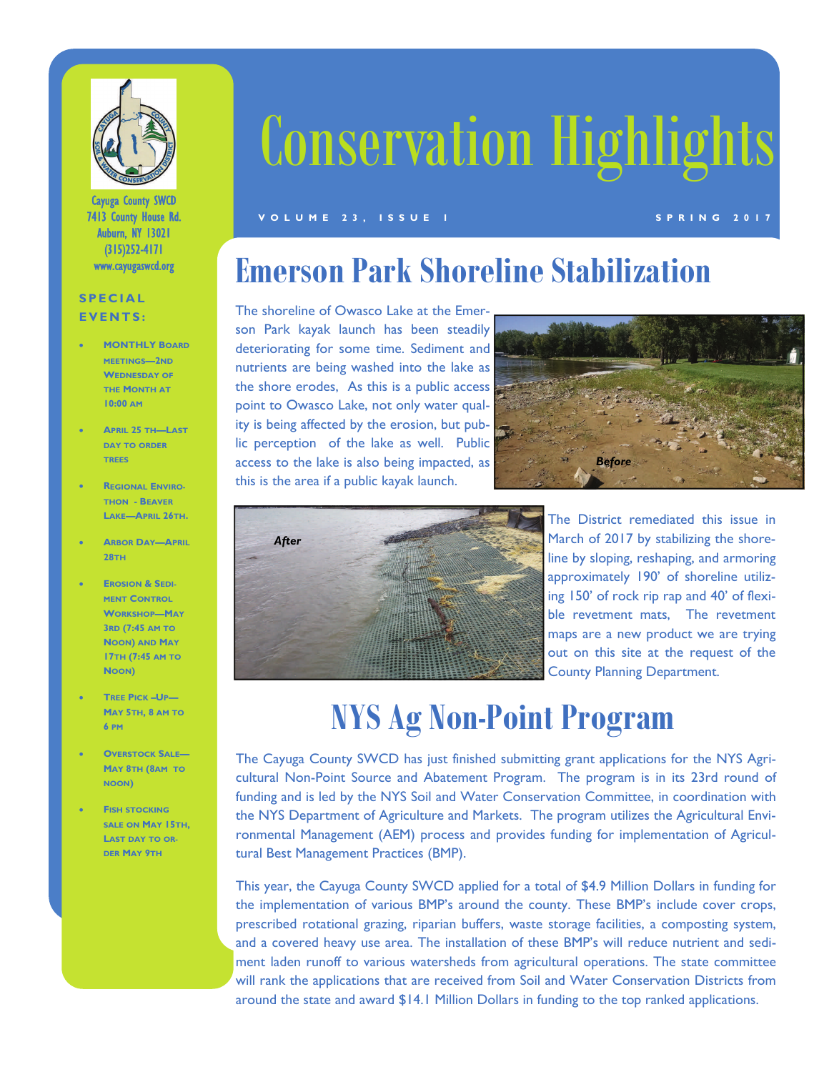

Cayuga County SWCD 7413 County House Rd. Auburn, NY 13021 (315)252-4171 www.cayugaswcd.org

#### **SPECIAL EVENTS:**

- **MONTHLY BOARD MEETINGS—2ND WEDNESDAY OF THE MONTH AT 10:00 AM**
- **APRIL 25 TH—LAST DAY TO ORDER TREES**
- **REGIONAL ENVIRO-THON - BEAVER LAKE—APRIL 26TH.**
- **ARBOR DAY—APRIL 28TH**
- **EROSION & SEDI-MENT CONTROL WORKSHOP—MAY 3RD (7:45 AM TO NOON) AND MAY 17TH (7:45 AM TO NOON)**
- **TREE PICK –UP— MAY 5TH, 8 AM TO 6 PM**
- **OVERSTOCK SALE— MAY 8TH (8AM TO NOON)**
- **FISH STOCKING SALE ON MAY 15TH, LAST DAY TO OR-DER MAY 9TH**

# Conservation Highlights

#### **VOLUME 23, ISSUE 1** SPRING 2017

#### **Emerson Park Shoreline Stabilization**

The shoreline of Owasco Lake at the Emerson Park kayak launch has been steadily deteriorating for some time. Sediment and nutrients are being washed into the lake as the shore erodes, As this is a public access point to Owasco Lake, not only water quality is being affected by the erosion, but public perception of the lake as well. Public access to the lake is also being impacted, as this is the area if a public kayak launch.





The District remediated this issue in March of 2017 by stabilizing the shoreline by sloping, reshaping, and armoring approximately 190' of shoreline utilizing 150' of rock rip rap and 40' of flexible revetment mats, The revetment maps are a new product we are trying out on this site at the request of the County Planning Department.

## **NYS Ag Non-Point Program**

The Cayuga County SWCD has just finished submitting grant applications for the NYS Agricultural Non-Point Source and Abatement Program. The program is in its 23rd round of funding and is led by the NYS Soil and Water Conservation Committee, in coordination with the NYS Department of Agriculture and Markets. The program utilizes the Agricultural Environmental Management (AEM) process and provides funding for implementation of Agricultural Best Management Practices (BMP).

This year, the Cayuga County SWCD applied for a total of \$4.9 Million Dollars in funding for the implementation of various BMP's around the county. These BMP's include cover crops, prescribed rotational grazing, riparian buffers, waste storage facilities, a composting system, and a covered heavy use area. The installation of these BMP's will reduce nutrient and sediment laden runoff to various watersheds from agricultural operations. The state committee will rank the applications that are received from Soil and Water Conservation Districts from around the state and award \$14.1 Million Dollars in funding to the top ranked applications.